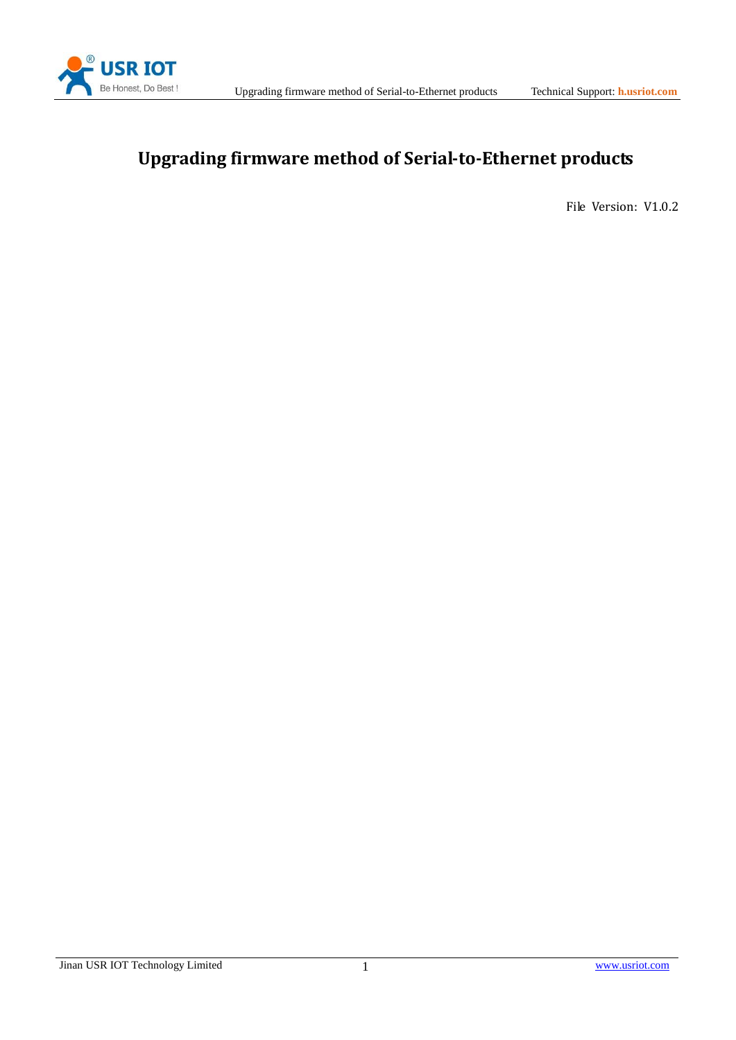

# **Upgrading firmware method of Serial-to-Ethernet products**

File Version: V1.0.2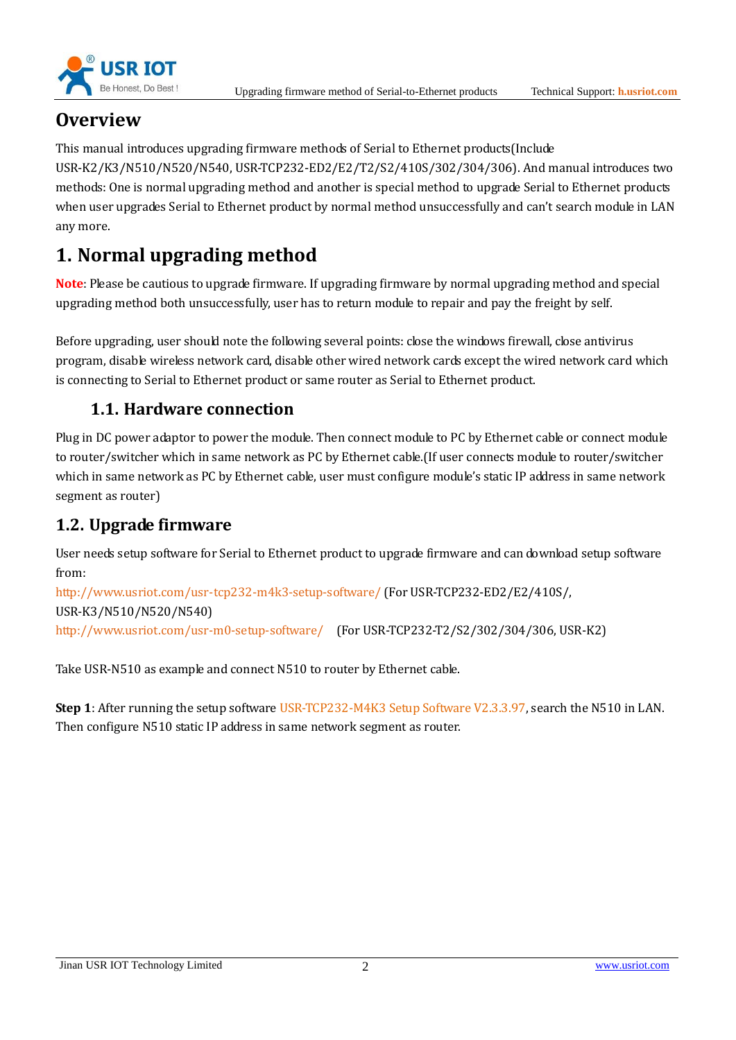



# **Overview**

This manual introduces upgrading firmware methods of Serial to Ethernet products(Include USR-K2/K3/N510/N520/N540, USR-TCP232-ED2/E2/T2/S2/410S/302/304/306). And manual introduces two methods: One is normal upgrading method and another is special method to upgrade Serial to Ethernet products when user upgrades Serial to Ethernet product by normal method unsuccessfully and can't search module in LAN any more.

# **1. Normal upgrading method**

**Note**: Please be cautious to upgrade firmware. If upgrading firmware by normal upgrading method and special upgrading method both unsuccessfully, user has to return module to repair and pay the freight by self.

Before upgrading, user should note the following several points: close the windows firewall, close antivirus program, disable wireless network card, disable other wired network cards except the wired network card which is connecting to Serial to Ethernet product or same router as Serial to Ethernet product.

### **1.1. Hardware connection**

Plug in DC power adaptor to power the module. Then connect module to PC by Ethernet cable or connect module to router/switcher which in same network as PC by Ethernet cable.(If user connects module to router/switcher which in same network as PC by Ethernet cable, user must configure module's static IP address in same network segment as router)

### **1.2. Upgrade firmware**

User needs setup software for Serial to Ethernet product to upgrade firmware and can download setup software from:

<http://www.usriot.com/usr-tcp232-m4k3-setup-software/> (For USR-TCP232-ED2/E2/410S/, USR-K3/N510/N520/N540) <http://www.usriot.com/usr-m0-setup-software/>(For USR-TCP232-T2/S2/302/304/306, USR-K2)

Take USR-N510 as example and connect N510 to router by Ethernet cable.

**Step 1**: After running the setup software USR-TCP232-M4K3 Setup Software V2.3.3.97, search the N510 in LAN. Then configure N510 static IP address in same network segment as router.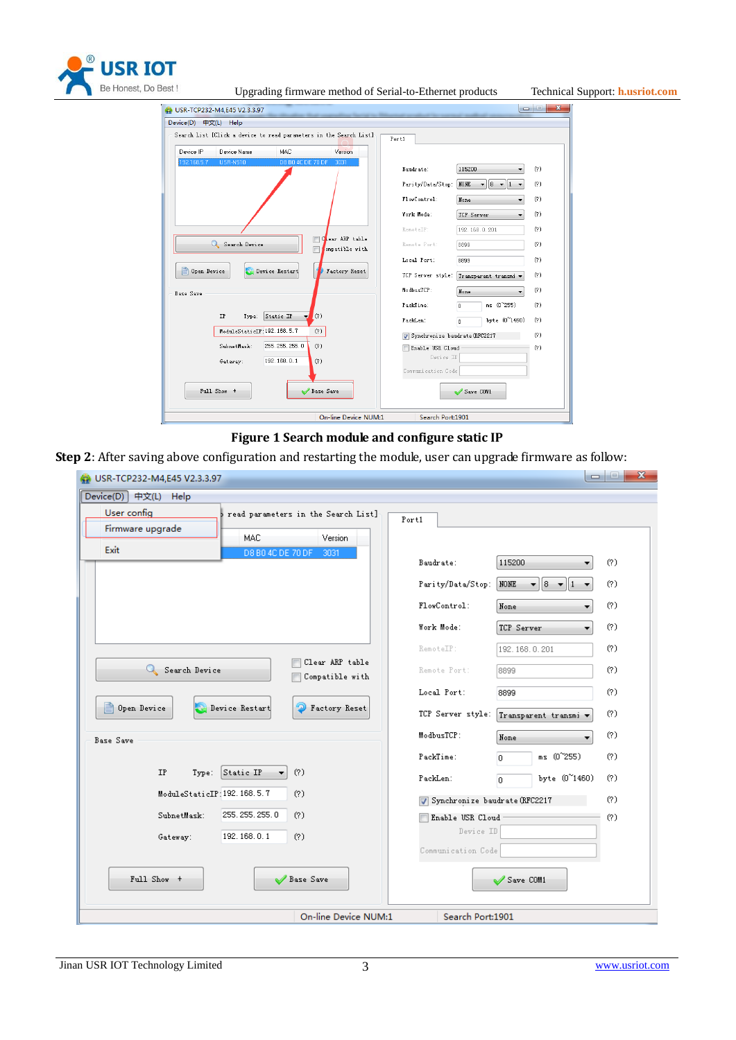

| est!<br>Upgrading firmware method of Serial-to-Ethernet products                                                                                 |                                 |                                         |     | Technical Support: <b>h.usriot.com</b> |  |
|--------------------------------------------------------------------------------------------------------------------------------------------------|---------------------------------|-----------------------------------------|-----|----------------------------------------|--|
| $\begin{array}{c c c c c c} \hline \multicolumn{3}{c }{\mathbf{C}} & \multicolumn{3}{c }{\mathbf{X}} \end{array}$<br>USR-TCP232-M4,E45 V2.3.3.97 |                                 |                                         |     |                                        |  |
| Device(D) 中文(L) Help                                                                                                                             |                                 |                                         |     |                                        |  |
| Search List [Click a device to read parameters in the Search List]                                                                               | Port1                           |                                         |     |                                        |  |
| Device IP<br>Device Name<br>MAC<br>Version                                                                                                       |                                 |                                         |     |                                        |  |
| 192.168.5.7<br><b>USR-N510</b><br>D8 B0 4C DE 70 DF<br>3031                                                                                      |                                 |                                         |     |                                        |  |
|                                                                                                                                                  | Baudrate:                       | 115200                                  | (?) |                                        |  |
|                                                                                                                                                  | Parity/Data/Stop:               | $8 - 1$<br>NONE<br>$\blacktriangledown$ | (?) |                                        |  |
|                                                                                                                                                  | FlowControl:                    | None<br>$\overline{\phantom{0}}$        | (?) |                                        |  |
|                                                                                                                                                  | Work Mode:                      | TCP Server<br>۰                         | (?) |                                        |  |
|                                                                                                                                                  | RemoteIP:                       | 192.168.0.201                           | (?) |                                        |  |
| Clear ARP table<br>Search Device<br>ompatible with                                                                                               | Remote Port:                    | 8899                                    | (?) |                                        |  |
|                                                                                                                                                  | Local Port:                     | 8899                                    | (?) |                                        |  |
| E<br>Factory Reset<br>Open Device<br>Device Restart                                                                                              | TCP Server style:               | Transparent transmi v                   | (?) |                                        |  |
| Base Save                                                                                                                                        | ModbusTCP:                      | None                                    | (?) |                                        |  |
|                                                                                                                                                  | PackTime:                       | $ms (0^{\sim}255)$<br>$\Omega$          | (?) |                                        |  |
| Type: Static IP<br>IP<br>(?)<br>ᆋ                                                                                                                | PackLen:                        | byte (0~1460)<br>n                      | (?) |                                        |  |
| ModuleStaticIP:192.168.5.7<br>(?)                                                                                                                | V Synchronize baudrate (RFC2217 |                                         | (?) |                                        |  |
| SubnetMask:<br>255.255.255.0<br>(?)                                                                                                              | Enable USR Cloud                |                                         | (?) |                                        |  |
| 192.168.0.1<br>Gateway:<br>(?)                                                                                                                   | Device ID                       |                                         |     |                                        |  |
|                                                                                                                                                  | Communication Code              |                                         |     |                                        |  |
| Full Show +<br>Base Save                                                                                                                         |                                 | Save COM1                               |     |                                        |  |

#### **Figure 1 Search module and configure static IP**

Search Port:1901

**Step 2**: After saving above configuration and restarting the module, user can upgrade firmware as follow:

On-line Device NUM:1

| $\mathbf{x}$<br>$\Box$<br>USR-TCP232-M4,E45 V2.3.3.97                  |                               |                                       |     |  |
|------------------------------------------------------------------------|-------------------------------|---------------------------------------|-----|--|
| Device(D) 中文(L) Help                                                   |                               |                                       |     |  |
| User config<br>read parameters in the Search List]<br>Firmware upgrade | Port1                         |                                       |     |  |
| Version<br>MAC<br>Exit<br>D8 B0 4C DE 70 DF<br>3031                    |                               |                                       |     |  |
|                                                                        | Baudrate:                     | 115200                                | (?) |  |
|                                                                        | Parity/Data/Stop:             | NONE<br>  8<br>₩.<br>$\mathbf{v}$   1 | (?) |  |
|                                                                        | FlowControl:                  | None<br>▼                             | (?) |  |
|                                                                        | Work Mode:                    | TCP Server<br>۰                       | (?) |  |
|                                                                        | RemoteIP:                     | 192.168.0.201                         | (?) |  |
| Clear ARP table<br>Search Device<br>Compatible with                    | Remote Port:                  | 8899                                  | (?) |  |
|                                                                        | Local Port:                   | 8899                                  | (?) |  |
| e<br>Open Device<br>Device Restart<br>Factory Reset                    | TCP Server style:             | Transparent transmi v                 | (?) |  |
| <b>Base Save</b>                                                       | ModbusTCP:                    | None                                  | (?) |  |
|                                                                        | PackTime:                     | ms (0~255)<br>0                       | (?) |  |
| Type: Static IP<br>(?)<br><b>IP</b>                                    | PackLen:                      | byte (0~1460)<br>D.                   | (?) |  |
| ModuleStaticIP: 192.168.5.7<br>(?)                                     | Synchronize baudrate (RFC2217 |                                       | (?) |  |
| 255.255.255.0<br>SubnetMask:<br>(?)                                    | Enable USR Cloud              |                                       | (?) |  |
| 192.168.0.1<br>(?)<br>Gateway:                                         | Device ID                     |                                       |     |  |
|                                                                        | Communication Code            |                                       |     |  |
| Full Show +<br>Base Save                                               |                               | Save COM1                             |     |  |
| On-line Device NUM:1                                                   | Search Port:1901              |                                       |     |  |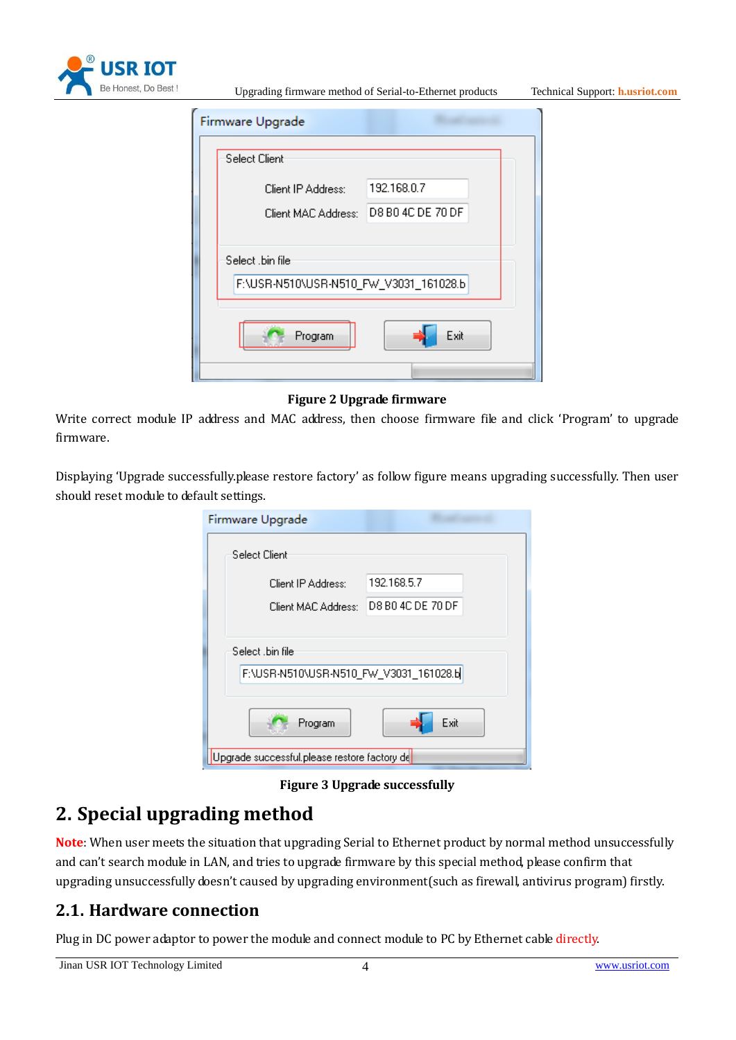

Upgrading firmware method of Serial-to-Ethernet products Technical Support: **<h.usriot.com>**

|                  | Firmware Upgrade                       |  |  |
|------------------|----------------------------------------|--|--|
|                  | Select Client                          |  |  |
|                  | 192.168.0.7<br>Client IP Address:      |  |  |
|                  | Client MAC Address: D8 B0 4C DE 70 DF  |  |  |
|                  |                                        |  |  |
| Select .bin file |                                        |  |  |
|                  | F:\USR-N510\USR-N510_FW_V3031_161028.b |  |  |
|                  | Exit<br>Program                        |  |  |
|                  |                                        |  |  |
|                  |                                        |  |  |

**Figure 2 Upgrade firmware**

Write correct module IP address and MAC address, then choose firmware file and click 'Program' to upgrade firmware.

Displaying 'Upgrade successfully.please restore factory' as follow figure means upgrading successfully. Then user should reset module to default settings.

| Firmware Upgrade                                           |                   |  |  |  |
|------------------------------------------------------------|-------------------|--|--|--|
| Select Client                                              |                   |  |  |  |
| Client IP Address:                                         | 192.168.5.7       |  |  |  |
| Client MAC Address:                                        | D8 B0 4C DE 70 DF |  |  |  |
| Select .bin file<br>F:\USR-N510\USR-N510_FW_V3031_161028.b |                   |  |  |  |
| Program                                                    | Exit              |  |  |  |
| Upgrade successful.please restore factory de               |                   |  |  |  |

**Figure 3 Upgrade successfully**

# **2. Special upgrading method**

**Note**: When user meets the situation that upgrading Serial to Ethernet product by normal method unsuccessfully and can't search module in LAN, and tries to upgrade firmware by this special method, please confirm that upgrading unsuccessfully doesn't caused by upgrading environment(such as firewall, antivirus program) firstly.

### **2.1. Hardware connection**

Plug in DC power adaptor to power the module and connect module to PC by Ethernet cable directly.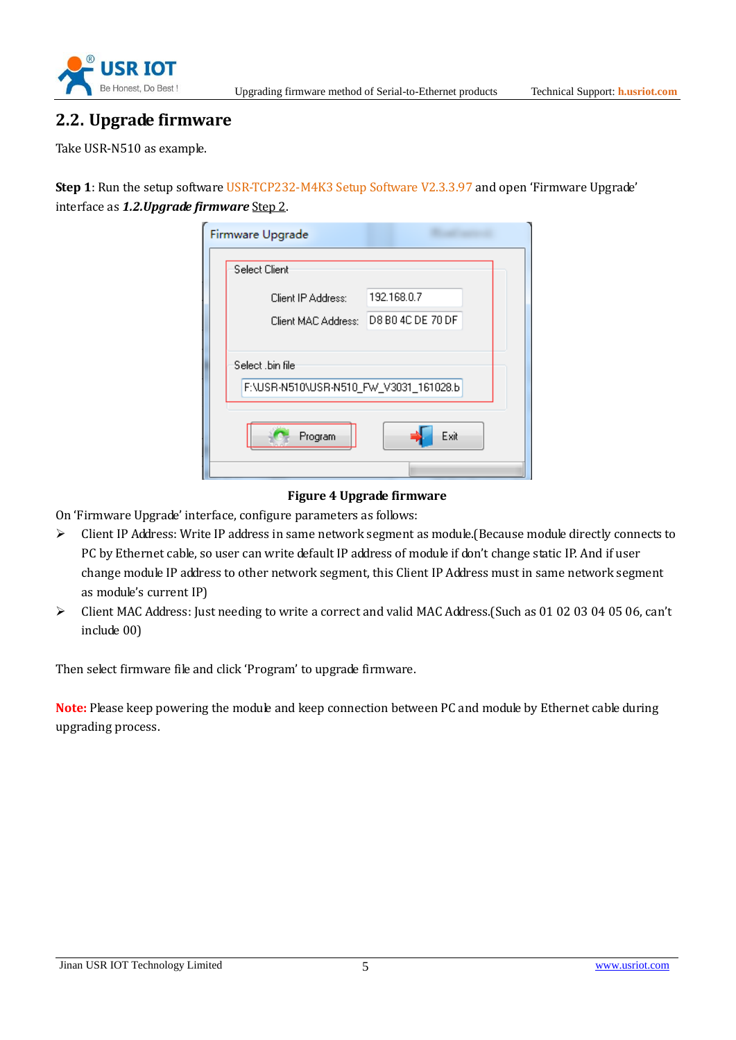

#### **2.2. Upgrade firmware**

Take USR-N510 as example.

**Step 1**: Run the setup software USR-TCP232-M4K3 Setup Software V2.3.3.97 and open 'Firmware Upgrade' interface as *1.2.Upgrade firmware* Step 2.

|                                                            | Firmware Upgrade      |                   |
|------------------------------------------------------------|-----------------------|-------------------|
|                                                            | Select Client         |                   |
|                                                            | Client IP Address:    | 192.168.0.7       |
|                                                            | Client MAC Address: . | D8 B0 4C DE 70 DF |
| Select .bin file<br>F:\USR-N510\USR-N510_FW_V3031_161028.b |                       |                   |
| Exit<br>Program                                            |                       |                   |
|                                                            |                       |                   |

#### **Figure 4 Upgrade firmware**

On 'Firmware Upgrade' interface, configure parameters as follows:

- ➢ Client IP Address: Write IP address in same network segment as module.(Because module directly connects to PC by Ethernet cable, so user can write default IP address of module if don't change static IP. And if user change module IP address to other network segment, this Client IP Address must in same network segment as module's current IP)
- ➢ Client MAC Address: Just needing to write a correct and valid MAC Address.(Such as 01 02 03 04 05 06, can't include 00)

Then select firmware file and click 'Program' to upgrade firmware.

**Note:** Please keep powering the module and keep connection between PC and module by Ethernet cable during upgrading process.